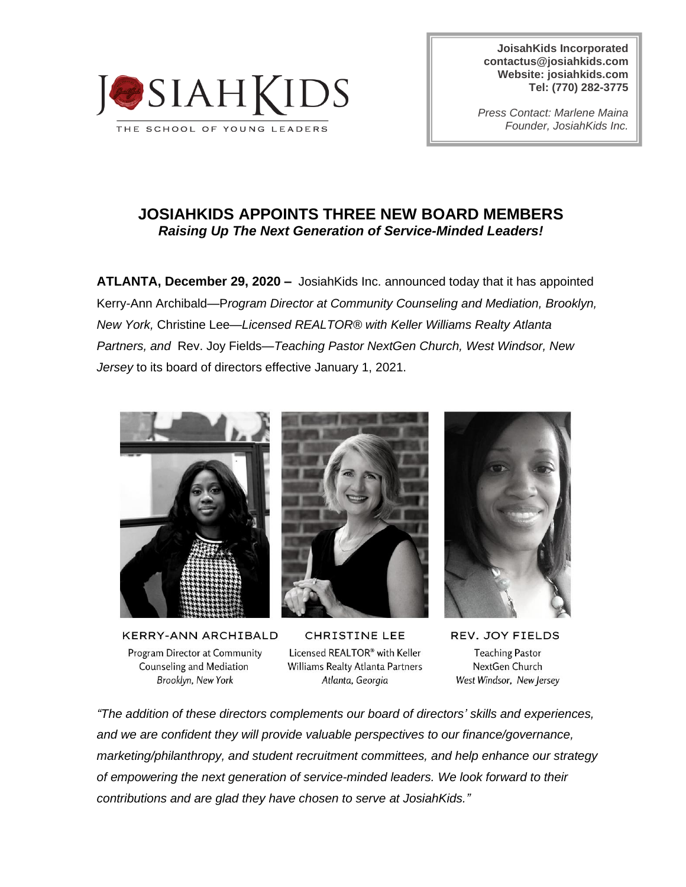

**JoisahKids Incorporated [contactus@josiahkids.com](mailto:contactus@josiahkids.com) Website: josiahkids.com Tel: (770) 282-3775**

*Press Contact: Marlene Maina Founder, JosiahKids Inc.*

## **JOSIAHKIDS APPOINTS THREE NEW BOARD MEMBERS** *Raising Up The Next Generation of Service-Minded Leaders!*

**ATLANTA, December 29, 2020 –** JosiahKids Inc. announced today that it has appointed Kerry-Ann Archibald—P*rogram Director at Community Counseling and Mediation, Brooklyn, New York,* Christine Lee—*Licensed REALTOR® with Keller Williams Realty Atlanta Partners, and* Rev. Joy Fields*—Teaching Pastor NextGen Church, West Windsor, New Jersey* to its board of directors effective January 1, 2021.



KERRY-ANN ARCHIBALD Program Director at Community Counseling and Mediation Brooklyn, New York



**CHRISTINE LEE** Licensed REALTOR® with Keller Williams Realty Atlanta Partners Atlanta, Georgia



REV. JOY FIELDS **Teaching Pastor** NextGen Church West Windsor, New Jersey

*"The addition of these directors complements our board of directors' skills and experiences, and we are confident they will provide valuable perspectives to our finance/governance, marketing/philanthropy, and student recruitment committees, and help enhance our strategy of empowering the next generation of service-minded leaders. We look forward to their contributions and are glad they have chosen to serve at JosiahKids."*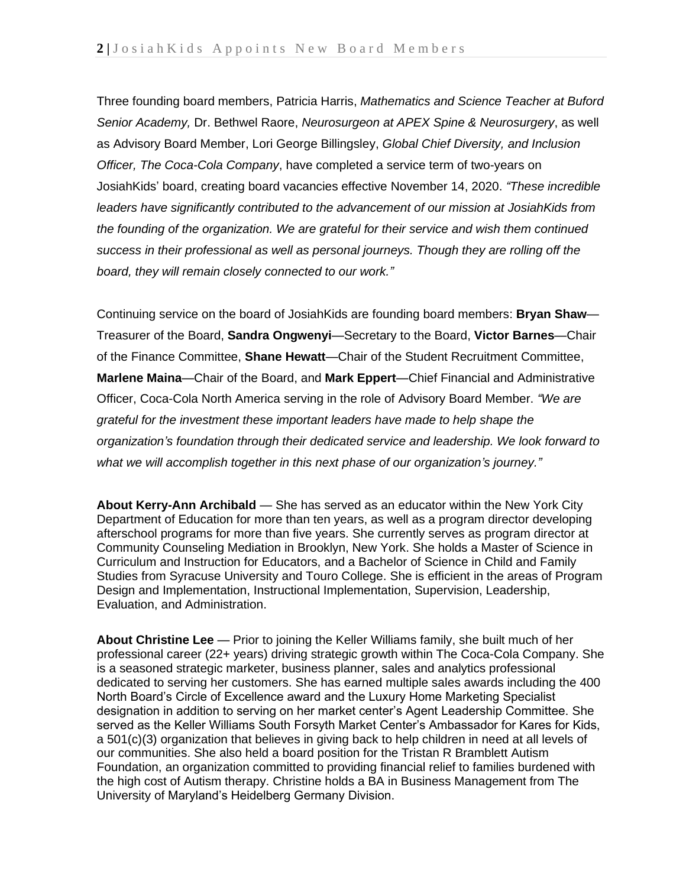Three founding board members, Patricia Harris, *Mathematics and Science Teacher at Buford Senior Academy,* Dr. Bethwel Raore, *Neurosurgeon at APEX Spine & Neurosurgery*, as well as Advisory Board Member, Lori George Billingsley, *Global Chief Diversity, and Inclusion Officer, The Coca-Cola Company*, have completed a service term of two-years on JosiahKids' board, creating board vacancies effective November 14, 2020. *"These incredible leaders have significantly contributed to the advancement of our mission at JosiahKids from the founding of the organization. We are grateful for their service and wish them continued success in their professional as well as personal journeys. Though they are rolling off the board, they will remain closely connected to our work."*

Continuing service on the board of JosiahKids are founding board members: **Bryan Shaw**— Treasurer of the Board, **Sandra Ongwenyi**—Secretary to the Board, **Victor Barnes**—Chair of the Finance Committee, **Shane Hewatt**—Chair of the Student Recruitment Committee, **Marlene Maina**—Chair of the Board, and **Mark Eppert**—Chief Financial and Administrative Officer, Coca-Cola North America serving in the role of Advisory Board Member. *"We are grateful for the investment these important leaders have made to help shape the organization's foundation through their dedicated service and leadership. We look forward to what we will accomplish together in this next phase of our organization's journey."*

**About Kerry-Ann Archibald** — She has served as an educator within the New York City Department of Education for more than ten years, as well as a program director developing afterschool programs for more than five years. She currently serves as program director at Community Counseling Mediation in Brooklyn, New York. She holds a Master of Science in Curriculum and Instruction for Educators, and a Bachelor of Science in Child and Family Studies from Syracuse University and Touro College. She is efficient in the areas of Program Design and Implementation, Instructional Implementation, Supervision, Leadership, Evaluation, and Administration.

**About Christine Lee** — Prior to joining the Keller Williams family, she built much of her professional career (22+ years) driving strategic growth within The Coca-Cola Company. She is a seasoned strategic marketer, business planner, sales and analytics professional dedicated to serving her customers. She has earned multiple sales awards including the 400 North Board's Circle of Excellence award and the Luxury Home Marketing Specialist designation in addition to serving on her market center's Agent Leadership Committee. She served as the Keller Williams South Forsyth Market Center's Ambassador for Kares for Kids, a 501(c)(3) organization that believes in giving back to help children in need at all levels of our communities. She also held a board position for the Tristan R Bramblett Autism Foundation, an organization committed to providing financial relief to families burdened with the high cost of Autism therapy. Christine holds a BA in Business Management from The University of Maryland's Heidelberg Germany Division.